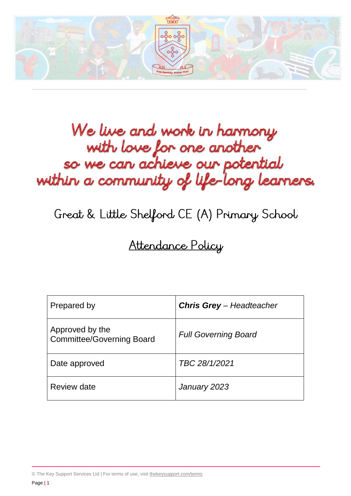

\_\_\_\_\_\_\_\_\_\_\_\_\_\_\_\_\_\_\_\_\_\_\_\_\_\_\_\_\_\_\_\_\_\_\_\_\_\_\_\_\_\_\_\_\_\_\_\_\_\_\_\_\_\_\_\_\_\_\_\_\_\_\_\_\_\_\_\_\_\_\_\_\_\_\_\_\_\_\_\_\_\_\_\_\_\_\_\_\_\_\_\_\_\_\_\_\_\_\_\_\_\_\_\_\_\_\_\_\_\_\_\_\_\_\_\_\_

# We live and work in harmony with love for one another so we can achieve our potential within a community of life-long learners.

# Great & Little Shelford CE (A) Primary School

# Attendance Policy

| Prepared by                                         | <b>Chris Grey</b> - Headteacher |
|-----------------------------------------------------|---------------------------------|
| Approved by the<br><b>Committee/Governing Board</b> | <b>Full Governing Board</b>     |
| Date approved                                       | TBC 28/1/2021                   |
| Review date                                         | January 2023                    |

© The Key Support Services Ltd | For terms of use, visit [thekeysupport.com/terms](https://thekeysupport.com/terms-of-use)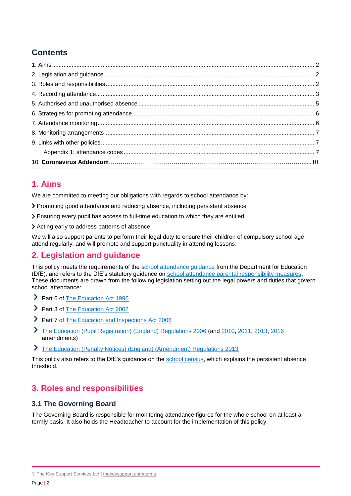# **Contents**

# <span id="page-1-0"></span>**1. Aims**

We are committed to meeting our obligations with regards to school attendance by:

- Promoting good attendance and reducing absence, including persistent absence
- Ensuring every pupil has access to full-time education to which they are entitled
- Acting early to address patterns of absence

We will also support parents to perform their legal duty to ensure their children of compulsory school age attend regularly, and will promote and support punctuality in attending lessons.

# <span id="page-1-1"></span>**2. Legislation and guidance**

This policy meets the requirements of the [school attendance guidance](https://www.gov.uk/government/publications/school-attendance) from the Department for Education (DfE), and refers to the DfE's statutory guidance on [school attendance parental responsibility measures.](https://www.gov.uk/government/publications/parental-responsibility-measures-for-behaviour-and-attendance) These documents are drawn from the following legislation setting out the legal powers and duties that govern school attendance:

- Part 6 of [The Education Act 1996](https://www.legislation.gov.uk/ukpga/1996/56/part/VI/chapter/II)
- Part 3 of [The Education Act 2002](http://www.legislation.gov.uk/ukpga/2002/32/part/3/chapter/3)
- Part 7 of [The Education and Inspections Act 2006](http://www.legislation.gov.uk/ukpga/2006/40/part/7/chapter/2/crossheading/school-attendance)
- ⋗ [The Education \(Pupil Registration\) \(England\) Regulations 2006](http://www.legislation.gov.uk/uksi/2006/1751/contents/made) (and [2010,](https://www.legislation.gov.uk/uksi/2010/1725/regulation/2/made) [2011,](https://www.legislation.gov.uk/uksi/2011/1625/made) [2013,](https://www.legislation.gov.uk/uksi/2013/756/made) [2016](https://www.legislation.gov.uk/uksi/2016/792/made/data.html) amendments)
- [The Education \(Penalty Notices\) \(England\) \(Amendment\) Regulations 2013](https://www.legislation.gov.uk/uksi/2013/757/regulation/2/made)

This policy also refers to the DfE's guidance on the [school census,](https://www.gov.uk/guidance/complete-the-school-census) which explains the persistent absence threshold.

# <span id="page-1-2"></span>**3. Roles and responsibilities**

# **3.1 The Governing Board**

The Governing Board is responsible for monitoring attendance figures for the whole school on at least a termly basis. It also holds the Headteacher to account for the implementation of this policy.

<sup>©</sup> The Key Support Services Ltd | [thekeysupport.com/terms](https://thekeysupport.com/terms-of-use)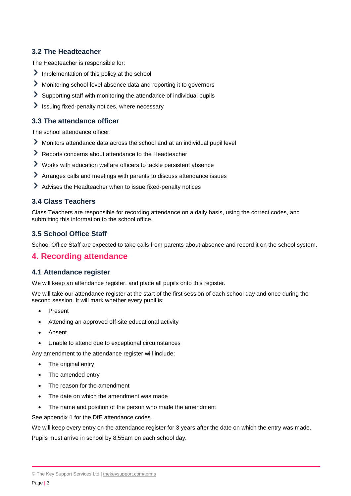# **3.2 The Headteacher**

The Headteacher is responsible for:

- Implementation of this policy at the school
- Monitoring school-level absence data and reporting it to governors
- Supporting staff with monitoring the attendance of individual pupils
- $\blacktriangleright$  Issuing fixed-penalty notices, where necessary

#### **3.3 The attendance officer**

The school attendance officer:

- Monitors attendance data across the school and at an individual pupil level
- Reports concerns about attendance to the Headteacher
- Works with education welfare officers to tackle persistent absence
- Arranges calls and meetings with parents to discuss attendance issues
- Advises the Headteacher when to issue fixed-penalty notices

# **3.4 Class Teachers**

Class Teachers are responsible for recording attendance on a daily basis, using the correct codes, and submitting this information to the school office.

# **3.5 School Office Staff**

School Office Staff are expected to take calls from parents about absence and record it on the school system.

# <span id="page-2-0"></span>**4. Recording attendance**

#### **4.1 Attendance register**

We will keep an attendance register, and place all pupils onto this register.

We will take our attendance register at the start of the first session of each school day and once during the second session. It will mark whether every pupil is:

- Present
- Attending an approved off-site educational activity
- Absent
- Unable to attend due to exceptional circumstances

Any amendment to the attendance register will include:

- The original entry
- The amended entry
- The reason for the amendment
- The date on which the amendment was made
- The name and position of the person who made the amendment

See appendix 1 for the DfE attendance codes.

We will keep every entry on the attendance register for 3 years after the date on which the entry was made.

Pupils must arrive in school by 8:55am on each school day.

<sup>©</sup> The Key Support Services Ltd | [thekeysupport.com/terms](https://thekeysupport.com/terms-of-use)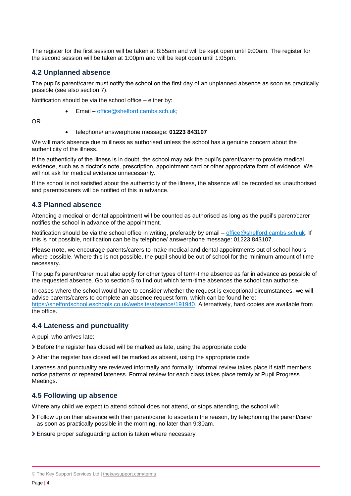The register for the first session will be taken at 8:55am and will be kept open until 9:00am. The register for the second session will be taken at 1:00pm and will be kept open until 1:05pm.

#### **4.2 Unplanned absence**

The pupil's parent/carer must notify the school on the first day of an unplanned absence as soon as practically possible (see also section 7).

Notification should be via the school office – either by:

Email – [office@shelford.cambs.sch.uk;](mailto:office@shelford.cambs.sch.uk)

OR

#### telephone/ answerphone message: **01223 843107**

We will mark absence due to illness as authorised unless the school has a genuine concern about the authenticity of the illness.

If the authenticity of the illness is in doubt, the school may ask the pupil's parent/carer to provide medical evidence, such as a doctor's note, prescription, appointment card or other appropriate form of evidence. We will not ask for medical evidence unnecessarily.

If the school is not satisfied about the authenticity of the illness, the absence will be recorded as unauthorised and parents/carers will be notified of this in advance.

#### **4.3 Planned absence**

Attending a medical or dental appointment will be counted as authorised as long as the pupil's parent/carer notifies the school in advance of the appointment.

Notification should be via the school office in writing, preferably by email – [office@shelford.cambs.sch.uk.](mailto:office@shelford.cambs.sch.uk) If this is not possible, notification can be by telephone/ answerphone message: 01223 843107.

**Please note**, we encourage parents/carers to make medical and dental appointments out of school hours where possible. Where this is not possible, the pupil should be out of school for the minimum amount of time necessary.

The pupil's parent/carer must also apply for other types of term-time absence as far in advance as possible of the requested absence. Go to section 5 to find out which term-time absences the school can authorise.

In cases where the school would have to consider whether the request is exceptional circumstances, we will advise parents/carers to complete an absence request form, which can be found here: [https://shelfordschool.eschools.co.uk/website/absence/191940.](https://shelfordschool.eschools.co.uk/website/absence/191940) Alternatively, hard copies are available from the office.

#### **4.4 Lateness and punctuality**

A pupil who arrives late:

Before the register has closed will be marked as late, using the appropriate code

After the register has closed will be marked as absent, using the appropriate code

Lateness and punctuality are reviewed informally and formally. Informal review takes place if staff members notice patterns or repeated lateness. Formal review for each class takes place termly at Pupil Progress Meetings.

#### **4.5 Following up absence**

Where any child we expect to attend school does not attend, or stops attending, the school will:

Follow up on their absence with their parent/carer to ascertain the reason, by telephoning the parent/carer as soon as practically possible in the morning, no later than 9:30am.

Ensure proper safeguarding action is taken where necessary

<sup>©</sup> The Key Support Services Ltd | [thekeysupport.com/terms](https://thekeysupport.com/terms-of-use)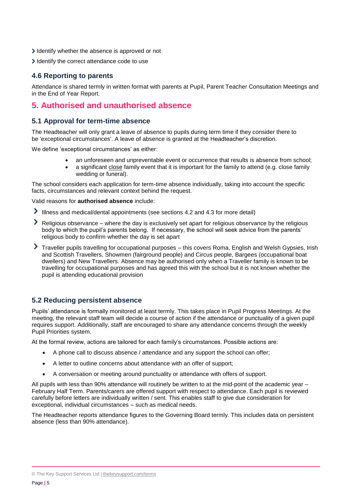- I dentify whether the absence is approved or not
- I dentify the correct attendance code to use

## **4.6 Reporting to parents**

<span id="page-4-0"></span>Attendance is shared termly in written format with parents at Pupil, Parent Teacher Consultation Meetings and in the End of Year Report.

# **5. Authorised and unauthorised absence**

#### **5.1 Approval for term-time absence**

The Headteacher will only grant a leave of absence to pupils during term time if they consider there to be 'exceptional circumstances'. A leave of absence is granted at the Headteacher's discretion.

We define 'exceptional circumstances' as either:

- an unforeseen and unpreventable event or occurrence that results is absence from school;
- a significant close family event that it is important for the family to attend (e.g. close family wedding or funeral).

The school considers each application for term-time absence individually, taking into account the specific facts, circumstances and relevant context behind the request.

Valid reasons for **authorised absence** include:

- Illness and medical/dental appointments (see sections 4.2 and 4.3 for more detail)
- Religious observance where the day is exclusively set apart for religious observance by the religious body to which the pupil's parents belong. If necessary, the school will seek advice from the parents' religious body to confirm whether the day is set apart
- Traveller pupils travelling for occupational purposes this covers Roma, English and Welsh Gypsies, Irish and Scottish Travellers, Showmen (fairground people) and Circus people, Bargees (occupational boat dwellers) and New Travellers. Absence may be authorised only when a Traveller family is known to be travelling for occupational purposes and has agreed this with the school but it is not known whether the pupil is attending educational provision

# **5.2 Reducing persistent absence**

Pupils' attendance is formally monitored at least termly. This takes place in Pupil Progress Meetings. At the meeting, the relevant staff team will decide a course of action if the attendance or punctuality of a given pupil requires support. Additionally, staff are encouraged to share any attendance concerns through the weekly Pupil Priorities system.

At the formal review, actions are tailored for each family's circumstances. Possible actions are:

- A phone call to discuss absence / attendance and any support the school can offer;
- A letter to outline concerns about attendance with an offer of support;
- A conversation or meeting around punctuality or attendance with offers of support.

All pupils with less than 90% attendance will routinely be written to at the mid-point of the academic year – February Half Term. Parents/carers are offered support with respect to attendance. Each pupil is reviewed carefully before letters are individually written / sent. This enables staff to give due consideration for exceptional, individual circumstances – such as medical needs.

The Headteacher reports attendance figures to the Governing Board termly. This includes data on persistent absence (less than 90% attendance).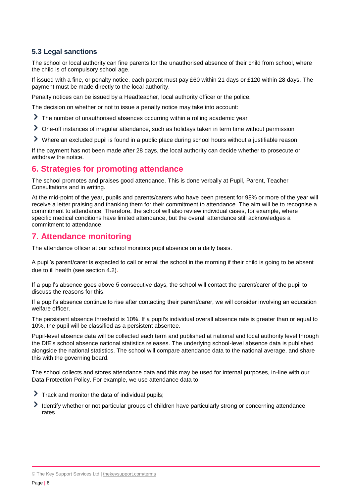# **5.3 Legal sanctions**

The school or local authority can fine parents for the unauthorised absence of their child from school, where the child is of compulsory school age.

If issued with a fine, or penalty notice, each parent must pay £60 within 21 days or £120 within 28 days. The payment must be made directly to the local authority.

Penalty notices can be issued by a Headteacher, local authority officer or the police.

The decision on whether or not to issue a penalty notice may take into account:

- The number of unauthorised absences occurring within a rolling academic year
- One-off instances of irregular attendance, such as holidays taken in term time without permission
- Where an excluded pupil is found in a public place during school hours without a justifiable reason

If the payment has not been made after 28 days, the local authority can decide whether to prosecute or withdraw the notice.

# <span id="page-5-0"></span>**6. Strategies for promoting attendance**

The school promotes and praises good attendance. This is done verbally at Pupil, Parent, Teacher Consultations and in writing.

At the mid-point of the year, pupils and parents/carers who have been present for 98% or more of the year will receive a letter praising and thanking them for their commitment to attendance. The aim will be to recognise a commitment to attendance. Therefore, the school will also review individual cases, for example, where specific medical conditions have limited attendance, but the overall attendance still acknowledges a commitment to attendance.

# <span id="page-5-1"></span>**7. Attendance monitoring**

The attendance officer at our school monitors pupil absence on a daily basis.

A pupil's parent/carer is expected to call or email the school in the morning if their child is going to be absent due to ill health (see section 4.2).

If a pupil's absence goes above 5 consecutive days, the school will contact the parent/carer of the pupil to discuss the reasons for this.

If a pupil's absence continue to rise after contacting their parent/carer, we will consider involving an education welfare officer.

The persistent absence threshold is 10%. If a pupil's individual overall absence rate is greater than or equal to 10%, the pupil will be classified as a persistent absentee.

Pupil-level absence data will be collected each term and published at national and local authority level through the DfE's school absence national statistics releases. The underlying school-level absence data is published alongside the national statistics. The school will compare attendance data to the national average, and share this with the governing board.

The school collects and stores attendance data and this may be used for internal purposes, in-line with our Data Protection Policy. For example, we use attendance data to:

- $\triangleright$  Track and monitor the data of individual pupils;
- <span id="page-5-2"></span>Identify whether or not particular groups of children have particularly strong or concerning attendance rates.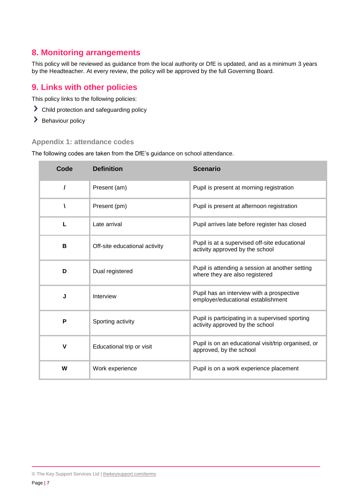# **8. Monitoring arrangements**

This policy will be reviewed as guidance from the local authority or DfE is updated, and as a minimum 3 years by the Headteacher. At every review, the policy will be approved by the full Governing Board.

# <span id="page-6-0"></span>**9. Links with other policies**

This policy links to the following policies:

- Child protection and safeguarding policy
- > Behaviour policy

## <span id="page-6-1"></span>**Appendix 1: attendance codes**

The following codes are taken from the DfE's guidance on school attendance.

| Code     | <b>Definition</b>             | <b>Scenario</b>                                                                    |
|----------|-------------------------------|------------------------------------------------------------------------------------|
| $\prime$ | Present (am)                  | Pupil is present at morning registration                                           |
| V        | Present (pm)                  | Pupil is present at afternoon registration                                         |
| L        | Late arrival                  | Pupil arrives late before register has closed                                      |
| В        | Off-site educational activity | Pupil is at a supervised off-site educational<br>activity approved by the school   |
| D        | Dual registered               | Pupil is attending a session at another setting<br>where they are also registered  |
| J        | Interview                     | Pupil has an interview with a prospective<br>employer/educational establishment    |
| P        | Sporting activity             | Pupil is participating in a supervised sporting<br>activity approved by the school |
| V        | Educational trip or visit     | Pupil is on an educational visit/trip organised, or<br>approved, by the school     |
| W        | Work experience               | Pupil is on a work experience placement                                            |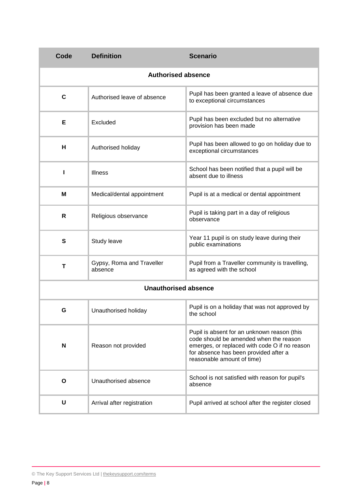| Code                      | <b>Definition</b>                    | <b>Scenario</b>                                                                                                                                                                                               |  |
|---------------------------|--------------------------------------|---------------------------------------------------------------------------------------------------------------------------------------------------------------------------------------------------------------|--|
| <b>Authorised absence</b> |                                      |                                                                                                                                                                                                               |  |
| $\mathbf c$               | Authorised leave of absence          | Pupil has been granted a leave of absence due<br>to exceptional circumstances                                                                                                                                 |  |
| Е                         | Excluded                             | Pupil has been excluded but no alternative<br>provision has been made                                                                                                                                         |  |
| н                         | Authorised holiday                   | Pupil has been allowed to go on holiday due to<br>exceptional circumstances                                                                                                                                   |  |
| ı                         | Illness                              | School has been notified that a pupil will be<br>absent due to illness                                                                                                                                        |  |
| M                         | Medical/dental appointment           | Pupil is at a medical or dental appointment                                                                                                                                                                   |  |
| R                         | Religious observance                 | Pupil is taking part in a day of religious<br>observance                                                                                                                                                      |  |
| S                         | Study leave                          | Year 11 pupil is on study leave during their<br>public examinations                                                                                                                                           |  |
| T                         | Gypsy, Roma and Traveller<br>absence | Pupil from a Traveller community is travelling,<br>as agreed with the school                                                                                                                                  |  |
|                           | <b>Unauthorised absence</b>          |                                                                                                                                                                                                               |  |
| G                         | Unauthorised holiday                 | Pupil is on a holiday that was not approved by<br>the school                                                                                                                                                  |  |
| N                         | Reason not provided                  | Pupil is absent for an unknown reason (this<br>code should be amended when the reason<br>emerges, or replaced with code O if no reason<br>for absence has been provided after a<br>reasonable amount of time) |  |
| O                         | Unauthorised absence                 | School is not satisfied with reason for pupil's<br>absence                                                                                                                                                    |  |
| U                         | Arrival after registration           | Pupil arrived at school after the register closed                                                                                                                                                             |  |

<sup>©</sup> The Key Support Services Ltd | [thekeysupport.com/terms](https://thekeysupport.com/terms-of-use)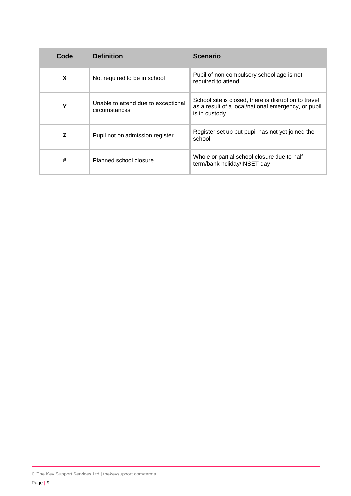| Code | <b>Definition</b>                                    | <b>Scenario</b>                                                                                                              |
|------|------------------------------------------------------|------------------------------------------------------------------------------------------------------------------------------|
| X    | Not required to be in school                         | Pupil of non-compulsory school age is not<br>required to attend                                                              |
| Υ    | Unable to attend due to exceptional<br>circumstances | School site is closed, there is disruption to travel<br>as a result of a local/national emergency, or pupil<br>is in custody |
| Z    | Pupil not on admission register                      | Register set up but pupil has not yet joined the<br>school                                                                   |
| #    | Planned school closure                               | Whole or partial school closure due to half-<br>term/bank holiday/INSET day                                                  |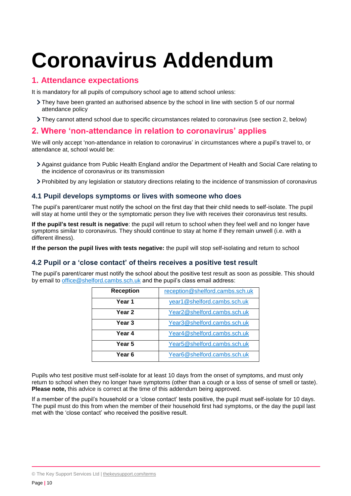# **Coronavirus Addendum**

# **1. Attendance expectations**

It is mandatory for all pupils of compulsory school age to attend school unless:

- They have been granted an authorised absence by the school in line with section 5 of our normal attendance policy
- They cannot attend school due to specific circumstances related to coronavirus (see section 2, below)

# **2. Where 'non-attendance in relation to coronavirus' applies**

We will only accept 'non-attendance in relation to coronavirus' in circumstances where a pupil's travel to, or attendance at, school would be:

- Against guidance from Public Health England and/or the Department of Health and Social Care relating to the incidence of coronavirus or its transmission
- Prohibited by any legislation or statutory directions relating to the incidence of transmission of coronavirus

#### **4.1 Pupil develops symptoms or lives with someone who does**

The pupil's parent/carer must notify the school on the first day that their child needs to self-isolate. The pupil will stay at home until they or the symptomatic person they live with receives their coronavirus test results.

**If the pupil's test result is negative**: the pupil will return to school when they feel well and no longer have symptoms similar to coronavirus. They should continue to stay at home if they remain unwell (i.e. with a different illness).

**If the person the pupil lives with tests negative:** the pupil will stop self-isolating and return to school

#### **4.2 Pupil or a 'close contact' of theirs receives a positive test result**

The pupil's parent/carer must notify the school about the positive test result as soon as possible. This should by email to [office@shelford.cambs.sch.uk](mailto:office@shelford.cambs.sch.uk) and the pupil's class email address:

| <b>Reception</b> | reception@shelford.cambs.sch.uk          |
|------------------|------------------------------------------|
| Year 1           | year1@shelford.cambs.sch.uk              |
| Year 2           | Year2@shelford.cambs.sch.uk              |
| Year 3           | Year3@shelford.cambs.sch.uk              |
| Year 4           | Year4@shelford.cambs.sch.uk              |
| Year 5           | Year5@shelford.cambs.sch.uk              |
| Year 6           | Year <sub>6</sub> @shelford.cambs.sch.uk |

Pupils who test positive must self-isolate for at least 10 days from the onset of symptoms, and must only return to school when they no longer have symptoms (other than a cough or a loss of sense of smell or taste). **Please note,** this advice is correct at the time of this addendum being approved.

If a member of the pupil's household or a 'close contact' tests positive, the pupil must self-isolate for 10 days. The pupil must do this from when the member of their household first had symptoms, or the day the pupil last met with the 'close contact' who received the positive result.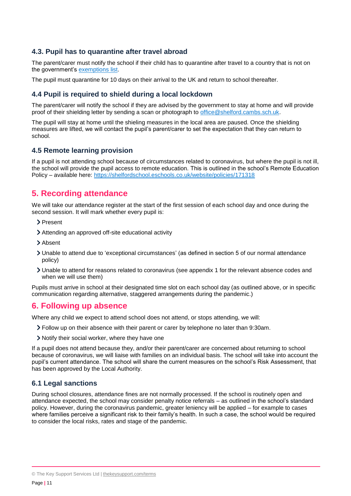# **4.3. Pupil has to quarantine after travel abroad**

The parent/carer must notify the school if their child has to quarantine after travel to a country that is not on the government's [exemptions](https://www.gov.uk/guidance/coronavirus-covid-19-travel-corridors#countries-and-territories-with-no-self-isolation-requirement-on-arrival-in-england) list.

The pupil must quarantine for 10 days on their arrival to the UK and return to school thereafter.

#### **4.4 Pupil is required to shield during a local lockdown**

The parent/carer will notify the school if they are advised by the government to stay at home and will provide proof of their shielding letter by sending a scan or photograph to [office@shelford.cambs.sch.uk.](mailto:office@shelford.cambs.sch.uk)

The pupil will stay at home until the shieling measures in the local area are paused. Once the shielding measures are lifted, we will contact the pupil's parent/carer to set the expectation that they can return to school.

#### **4.5 Remote learning provision**

If a pupil is not attending school because of circumstances related to coronavirus, but where the pupil is not ill, the school will provide the pupil access to remote education. This is outlined in the school's Remote Education Policy – available here:<https://shelfordschool.eschools.co.uk/website/policies/171318>

# **5. Recording attendance**

We will take our attendance register at the start of the first session of each school day and once during the second session. It will mark whether every pupil is:

- > Present
- Attending an approved off-site educational activity
- > Absent
- Unable to attend due to 'exceptional circumstances' (as defined in section 5 of our normal attendance policy)
- Unable to attend for reasons related to coronavirus (see appendix 1 for the relevant absence codes and when we will use them)

Pupils must arrive in school at their designated time slot on each school day (as outlined above, or in specific communication regarding alternative, staggered arrangements during the pandemic.)

# **6. Following up absence**

Where any child we expect to attend school does not attend, or stops attending, we will:

- Follow up on their absence with their parent or carer by telephone no later than 9:30am.
- Notify their social worker, where they have one

If a pupil does not attend because they, and/or their parent/carer are concerned about returning to school because of coronavirus, we will liaise with families on an individual basis. The school will take into account the pupil's current attendance. The school will share the current measures on the school's Risk Assessment, that has been approved by the Local Authority.

#### **6.1 Legal sanctions**

During school closures, attendance fines are not normally processed. If the school is routinely open and attendance expected, the school may consider penalty notice referrals – as outlined in the school's standard policy. However, during the coronavirus pandemic, greater leniency will be applied – for example to cases where families perceive a significant risk to their family's health. In such a case, the school would be required to consider the local risks, rates and stage of the pandemic.